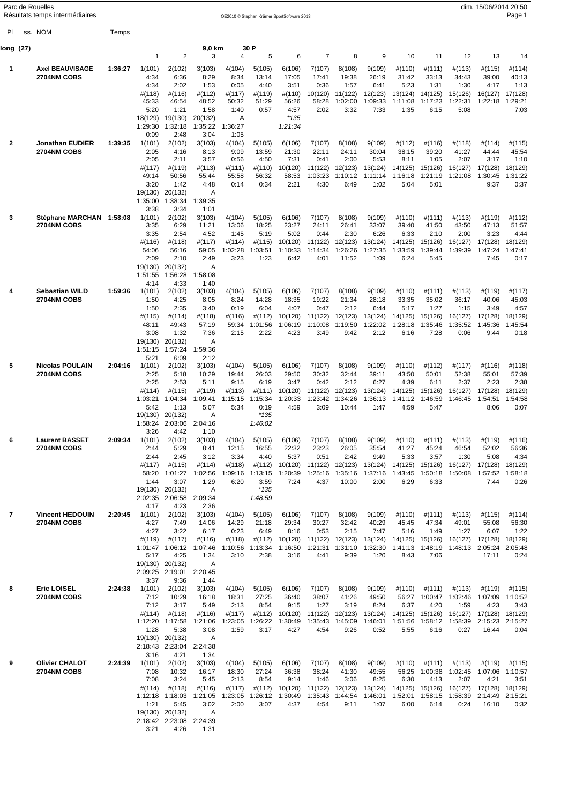|                | Parc de Rouelles<br>Résultats temps intermédiaires |         |                                                                                   |                                                                                                                            |                                                                              |                                                                      |                                                                           | OE2010 © Stephan Krämer SportSoftware 2013                                                                                                                   |                                                                       |                                                            |                                                            |                                                                                                 |                                                             |                                                             | dim. 15/06/2014 20:50                                                            | Page 1                                                      |
|----------------|----------------------------------------------------|---------|-----------------------------------------------------------------------------------|----------------------------------------------------------------------------------------------------------------------------|------------------------------------------------------------------------------|----------------------------------------------------------------------|---------------------------------------------------------------------------|--------------------------------------------------------------------------------------------------------------------------------------------------------------|-----------------------------------------------------------------------|------------------------------------------------------------|------------------------------------------------------------|-------------------------------------------------------------------------------------------------|-------------------------------------------------------------|-------------------------------------------------------------|----------------------------------------------------------------------------------|-------------------------------------------------------------|
| PI.            | ss. NOM                                            | Temps   |                                                                                   |                                                                                                                            |                                                                              |                                                                      |                                                                           |                                                                                                                                                              |                                                                       |                                                            |                                                            |                                                                                                 |                                                             |                                                             |                                                                                  |                                                             |
| long (27)      |                                                    |         |                                                                                   |                                                                                                                            | 9,0 km                                                                       |                                                                      | 30 P                                                                      |                                                                                                                                                              |                                                                       |                                                            |                                                            |                                                                                                 |                                                             |                                                             |                                                                                  |                                                             |
| 1              | <b>Axel BEAUVISAGE</b><br>2704NM COBS              | 1:36:27 | 1<br>1(101)<br>4:34<br>4:34<br>#(118)<br>45:33<br>5:20<br>18(129)                 | 2<br>2(102)<br>6:36<br>2:02<br>#(116)<br>46:54<br>1:21<br>19(130)                                                          | 3<br>3(103)<br>8:29<br>1:53<br>#(112)<br>48:52<br>1:58<br>20(132)            | 4<br>4(104)<br>8:34<br>0:05<br>#(117)<br>50:32<br>1:40<br>Α          | 5<br>5(105)<br>13:14<br>4:40<br>#(119)<br>51:29<br>0:57                   | 6<br>6(106)<br>17:05<br>3:51<br>#(110)<br>56:26<br>4:57<br>$*135$                                                                                            | $\overline{7}$<br>7(107)<br>17:41<br>0:36<br>10(120)<br>58:28<br>2:02 | 8<br>8(108)<br>19:38<br>1:57<br>11(122)<br>1:02:00<br>3:32 | 9<br>9(109)<br>26:19<br>6:41<br>12(123)<br>1:09:33<br>7:33 | 10<br>#(110)<br>31:42<br>5:23<br>13(124)<br>1:11:08<br>1:35                                     | 11<br>#(111)<br>33:13<br>1:31<br>14(125)<br>1:17:23<br>6:15 | 12<br>#(113)<br>34:43<br>1:30<br>15(126)<br>1:22:31<br>5:08 | 13<br>#(115)<br>39:00<br>4:17<br>16(127)<br>1:22:18                              | 14<br>#(114)<br>40:13<br>1:13<br>17(128)<br>1:29:21<br>7:03 |
| 2              | Jonathan EUDIER<br><b>2704NM COBS</b>              | 1:39:35 | 1:29:30<br>0:09<br>1(101)<br>2:05<br>2:05<br>#(117)<br>49:14<br>3:20<br>19(130)   | 1:32:18<br>2:48<br>2(102)<br>4:16<br>2:11<br>#(119)<br>50:56<br>1:42<br>20(132)                                            | 1:35:22<br>3:04<br>3(103)<br>8:13<br>3:57<br>#(113)<br>55:44<br>4:48<br>Α    | 1:36:27<br>1:05<br>4(104)<br>9:09<br>0:56<br>#(111)<br>55:58<br>0:14 | 5(105)<br>13:59<br>4:50<br>#(110)<br>56:32<br>0:34                        | 1:21:34<br>6(106)<br>21:30<br>7:31<br>10(120)<br>58:53<br>2:21                                                                                               | 7(107)<br>22:11<br>0:41<br>11(122)<br>1:03:23<br>4:30                 | 8(108)<br>24:11<br>2:00<br>12(123)<br>1:10:12<br>6:49      | 9(109)<br>30:04<br>5:53<br>13(124)<br>1:11:14<br>1:02      | #(112)<br>38:15<br>8:11<br>14(125)<br>1:16:18<br>5:04                                           | #(116)<br>39:20<br>1:05<br>15(126)<br>1:21:19<br>5:01       | #(118)<br>41:27<br>2:07<br>16(127)<br>1:21:08               | #(114)<br>44:44<br>3:17<br>17(128)<br>1:30:45<br>9:37                            | #(115)<br>45:54<br>1:10<br>18(129)<br>1:31:22<br>0:37       |
| 3              | Stéphane MARCHAN 1:58:08<br>2704NM COBS            |         | 1:35:00<br>3:38<br>1(101)<br>3:35<br>3:35<br>#(116)<br>54:06<br>2:09<br>19(130)   | 1:38:34<br>3:34<br>2(102)<br>6:29<br>2:54<br>#(118)<br>56:16<br>2:10<br>20(132)                                            | 1:39:35<br>1:01<br>3(103)<br>11:21<br>4:52<br>#(117)<br>59:05<br>2:49<br>Α   | 4(104)<br>13:06<br>1:45<br>#(114)<br>1:02:28<br>3:23                 | 5(105)<br>18:25<br>5:19<br>$\#(115)$<br>1:03:51<br>1:23                   | 6(106)<br>23:27<br>5:02<br>10(120)<br>1:10:33<br>6:42                                                                                                        | 7(107)<br>24:11<br>0:44<br>11(122)<br>1:14:34<br>4:01                 | 8(108)<br>26:41<br>2:30<br>12(123)<br>1:26:26<br>11:52     | 9(109)<br>33:07<br>6:26<br>13(124)<br>1:27:35<br>1:09      | #(110)<br>39:40<br>6:33<br>14(125)<br>1:33:59<br>6:24                                           | #(111)<br>41:50<br>2:10<br>15(126)<br>1:39:44<br>5:45       | #(113)<br>43:50<br>2:00<br>16(127)<br>1:39:39               | #(119)<br>47:13<br>3:23<br>17(128)<br>1:47:24<br>7:45                            | #(112)<br>51:57<br>4:44<br>18(129)<br>1:47:41<br>0:17       |
| 4              | Sebastian WILD<br>2704NM COBS                      | 1:59:36 | 1:51:55<br>4:14<br>1(101)<br>1:50<br>1:50<br>#(115)<br>48:11<br>3:08<br>19(130)   | 1:56:28<br>4:33<br>2(102)<br>4:25<br>2:35<br>#(114)<br>49:43<br>1:32<br>20(132)                                            | 1:58:08<br>1:40<br>3(103)<br>8:05<br>3:40<br>#(118)<br>57:19<br>7:36<br>Α    | 4(104)<br>8:24<br>0:19<br>#(116)<br>59:34<br>2:15                    | 5(105)<br>14:28<br>6:04<br>#(112)<br>1:01:56<br>2:22                      | 6(106)<br>18:35<br>4:07<br>10(120)<br>1:06:19<br>4:23                                                                                                        | 7(107)<br>19:22<br>0:47<br>11(122)<br>1:10:08<br>3:49                 | 8(108)<br>21:34<br>2:12<br>12(123)<br>1:19:50<br>9:42      | 9(109)<br>28:18<br>6:44<br>13(124)<br>1:22:02<br>2:12      | #(110)<br>33:35<br>5:17<br>14(125)<br>1:28:18<br>6:16                                           | #(111)<br>35:02<br>1:27<br>15(126)<br>1:35:46<br>7:28       | #(113)<br>36:17<br>1:15<br>16(127)<br>1:35:52<br>0:06       | #(119)<br>40:06<br>3:49<br>17(128)<br>1:45:36<br>9:44                            | #(117)<br>45:03<br>4:57<br>18(129)<br>1:45:54<br>0:18       |
| 5              | <b>Nicolas POULAIN</b><br>2704NM COBS              | 2:04:16 | 1:51:15<br>5:21<br>1(101)<br>2:25<br>2:25<br>#(114)<br>1:03:21<br>5:42<br>19(130) | 1:57:24<br>6:09<br>2(102)<br>5:18<br>2:53<br>#(115)<br>1:04:34<br>1:13<br>20(132)<br>1:58:24 2:03:06 2:04:16               | 1:59:36<br>2:12<br>3(103)<br>10:29<br>5:11<br>#(119)<br>1:09:41<br>5:07<br>Α | 4(104)<br>19:44<br>9:15<br>#(113)<br>1:15:15<br>5:34                 | 5(105)<br>26:03<br>6:19<br>#(111)<br>1:15:34<br>0:19<br>$*135$<br>1:46:02 | 6(106)<br>29:50<br>3:47<br>10(120)<br>1:20:33<br>4:59                                                                                                        | 7(107)<br>30:32<br>0:42<br>11(122)<br>1:23:42<br>3:09                 | 8(108)<br>32:44<br>2:12<br>12(123)<br>1:34:26<br>10:44     | 9(109)<br>39:11<br>6:27<br>13(124)<br>1:36:13<br>1:47      | #(110)<br>43:50<br>4:39<br>14(125)<br>1:41:12<br>4:59                                           | #(112)<br>50:01<br>6:11<br>15(126)<br>1:46:59<br>5:47       | #(117)<br>52:38<br>2:37<br>16(127)<br>1:46:45               | #(116)<br>55:01<br>2:23<br>17(128)<br>1:54:51<br>8:06                            | #(118)<br>57:39<br>2:38<br>18(129)<br>1:54:58<br>0:07       |
| 6              | <b>Laurent BASSET</b><br>2704NM COBS               | 2:09:34 | 3:26<br>1(101)<br>2:44<br>2:44<br>#(117)<br>58:20<br>1:44                         | 4:42<br>2(102)<br>5:29<br>2:45<br>#(115)<br>1:01:27<br>3:07<br>19(130) 20(132)<br>2:02:35 2:06:58 2:09:34                  | 1:10<br>3(103)<br>8:41<br>3:12<br>#(114)<br>1:02:56<br>1:29<br>Α             | 4(104)<br>12:15<br>3:34<br>$\#(118)$<br>6:20                         | 5(105)<br>16:55<br>4:40<br>3:59<br>$*135$<br>1:48:59                      | 6(106)<br>22:32<br>5:37<br>#(112) 10(120) 11(122) 12(123) 13(124) 14(125) 15(126)<br>1:09:16 1:13:15 1:20:39 1:25:16 1:35:16 1:37:16<br>7:24                 | 7(107)<br>23:23<br>0:51<br>4:37                                       | 8(108)<br>26:05<br>2:42<br>10:00                           | 9(109)<br>35:54<br>9:49<br>2:00                            | #(110)<br>41:27<br>5:33<br>1:43:45 1:50:18<br>6:29                                              | #(111)<br>45:24<br>3:57<br>6:33                             | #(113)<br>46:54<br>1:30<br>16(127)<br>1:50:08               | #(119)<br>52:02<br>5:08<br>17(128)<br>1:57:52<br>7:44                            | #(116)<br>56:36<br>4:34<br>18(129)<br>1:58:18<br>0:26       |
| $\overline{7}$ | <b>Vincent HEDOUIN</b><br>2704NM COBS              | 2:20:45 | 4:17<br>1(101)<br>4:27<br>4:27<br>#(119)<br>5:17<br>3:37                          | 4:23<br>2(102)<br>7:49<br>3:22<br>#(117)<br>1:01:47 1:06:12<br>4:25<br>19(130) 20(132)<br>2:09:25 2:19:01 2:20:45<br>9:36  | 2:36<br>3(103)<br>14:06<br>6:17<br>#(116)<br>1:07:46<br>1:34<br>A<br>1:44    | 4(104)<br>14:29<br>0:23<br>$\#(118)$<br>3:10                         | 5(105)<br>21:18<br>6:49<br>2:38                                           | 6(106)<br>29:34<br>8:16<br>#(112) 10(120) 11(122) 12(123) 13(124) 14(125) 15(126)<br>1:10:56 1:13:34 1:16:50 1:21:31 1:31:10 1:32:30 1:41:13 1:48:19<br>3:16 | 7(107)<br>30:27<br>0:53<br>4:41                                       | 8(108)<br>32:42<br>2:15<br>9:39                            | 9(109)<br>40:29<br>7:47<br>1:20                            | #(110)<br>45:45<br>5:16<br>8:43                                                                 | #(111)<br>47:34<br>1:49<br>7:06                             | #(113)<br>49:01<br>1:27<br>16(127)<br>1:48:13               | $\#(115)$<br>55:08<br>6:07<br>17(128)<br>2:05:24 2:05:48<br>17:11                | #(114)<br>56:30<br>1:22<br>18(129)<br>0:24                  |
| 8              | <b>Eric LOISEL</b><br>2704NM COBS                  | 2:24:38 | 1(101)<br>7:12<br>7:12<br>#(114)<br>1:28                                          | 2(102)<br>10:29<br>3:17<br>$\#(118)$<br>1:12:20 1:17:58<br>5:38<br>19(130) 20(132)<br>2:18:43 2:23:04 2:24:38              | 3(103)<br>16:18<br>5:49<br>#(116)<br>1:21:06<br>3:08<br>Α                    | 4(104)<br>18:31<br>2:13<br>#(117)<br>1:59                            | 5(105)<br>27:25<br>8:54<br>#(112)<br>1:23:05 1:26:22<br>3:17              | 6(106)<br>36:40<br>9:15<br>10(120)<br>1:30:49<br>4:27                                                                                                        | 7(107)<br>38:07<br>1:27<br>11(122) 12(123)<br>1:35:43 1:45:09<br>4:54 | 8(108)<br>41:26<br>3:19<br>9:26                            | 9(109)<br>49:50<br>8:24<br>0:52                            | #(110)<br>6:37<br>13(124) 14(125) 15(126) 16(127)<br>1:46:01  1:51:56  1:58:12  1:58:39<br>5:55 | #(111)<br>56:27 1:00:47<br>4:20<br>6:16                     | #(113)<br>1:02:46<br>1:59<br>0:27                           | #(119)<br>1:07:09 1:10:52<br>4:23<br>17(128) 18(129)<br>2:15:23 2:15:27<br>16:44 | $\#(115)$<br>3:43<br>0:04                                   |
| 9              | <b>Olivier CHALOT</b><br>2704NM COBS               | 2:24:39 | 3:16<br>1(101)<br>7:08<br>7:08<br>#(114)<br>1:21<br>3:21                          | 4:21<br>2(102)<br>10:32<br>3:24<br>#(118)<br>1:12:18 1:18:03<br>5:45<br>19(130) 20(132)<br>2:18:42 2:23:08 2:24:39<br>4:26 | 1:34<br>3(103)<br>16:17<br>5:45<br>#(116)<br>1:21:05<br>3:02<br>Α<br>1:31    | 4(104)<br>18:30<br>2:13<br>#(117)<br>1:23:05<br>2:00                 | 5(105)<br>27:24<br>8:54<br>$\#(112)$<br>3:07                              | 6(106)<br>36:38<br>9:14<br>10(120)<br>1:26:12 1:30:49<br>4:37                                                                                                | 7(107)<br>38:24<br>1:46<br>11(122)<br>1:35:43 1:44:54<br>4:54         | 8(108)<br>41:30<br>3:06<br>12(123)<br>9:11                 | 9(109)<br>49:55<br>8:25<br>13(124)<br>1:07                 | #(110)<br>6:30<br>1:46:01  1:52:01  1:58:15<br>6:00                                             | #(111)<br>56:25 1:00:38<br>4:13<br>14(125) 15(126)<br>6:14  | #(113)<br>2:07<br>16(127)<br>1:58:39<br>0:24                | #(119)<br>1:02:45 1:07:06 1:10:57<br>4:21<br>17(128)<br>2:14:49 2:15:21<br>16:10 | $\#(115)$<br>3:51<br>18(129)<br>0:32                        |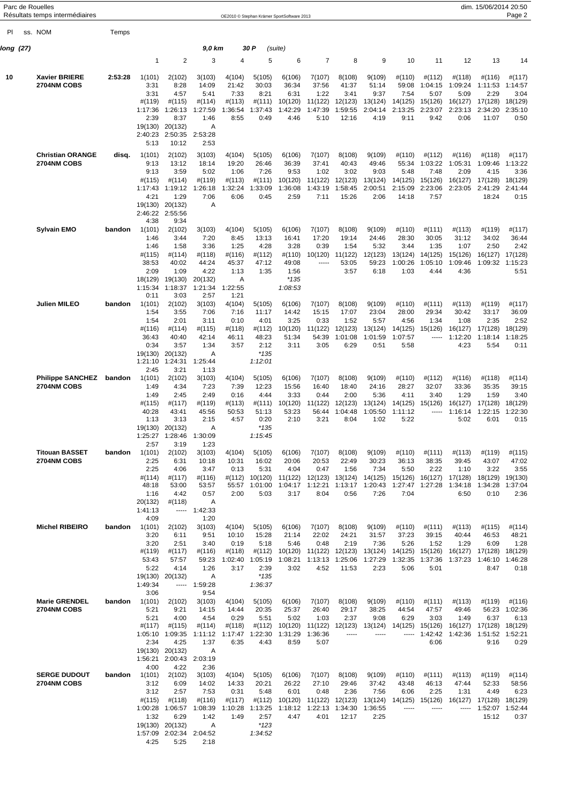|           | Parc de Rouelles<br>Résultats temps intermédiaires |         |                            |                                            |                         |                         |                         | OE2010 © Stephan Krämer SportSoftware 2013                                             |                         |                         |                                 |                                 |                           |                           | dim. 15/06/2014 20:50           | Page 2                     |
|-----------|----------------------------------------------------|---------|----------------------------|--------------------------------------------|-------------------------|-------------------------|-------------------------|----------------------------------------------------------------------------------------|-------------------------|-------------------------|---------------------------------|---------------------------------|---------------------------|---------------------------|---------------------------------|----------------------------|
|           |                                                    |         |                            |                                            |                         |                         |                         |                                                                                        |                         |                         |                                 |                                 |                           |                           |                                 |                            |
| PI        | ss. NOM                                            | Temps   |                            |                                            |                         |                         |                         |                                                                                        |                         |                         |                                 |                                 |                           |                           |                                 |                            |
| long (27) |                                                    |         | $\mathbf{1}$               | $\overline{c}$                             | 9,0 km<br>3             | 4                       | 30 P<br>5               | (suite)<br>6                                                                           | $\overline{7}$          | 8                       | 9                               | 10                              | 11                        | 12                        | 13                              |                            |
|           |                                                    |         |                            |                                            |                         |                         |                         |                                                                                        |                         |                         |                                 |                                 |                           |                           |                                 | 14                         |
| 10        | <b>Xavier BRIERE</b><br>2704NM COBS                | 2:53:28 | 1(101)<br>3:31<br>3:31     | 2(102)<br>8:28<br>4:57                     | 3(103)<br>14:09<br>5:41 | 4(104)<br>21:42<br>7:33 | 5(105)<br>30:03<br>8:21 | 6(106)<br>36:34<br>6:31                                                                | 7(107)<br>37:56<br>1:22 | 8(108)<br>41:37<br>3:41 | 9(109)<br>51:14<br>9:37         | #(110)<br>59:08<br>7:54         | #(112)<br>1:04:15<br>5:07 | #(118)<br>1:09:24<br>5:09 | #(116)<br>1:11:53<br>2:29       | #(117)<br>1:14:57<br>3:04  |
|           |                                                    |         | #(119)<br>1:17:36          | $\#(115)$<br>1:26:13                       | #(114)<br>1:27:59       | #(113)<br>1:36:54       | #(111)<br>1:37:43       | 10(120)<br>1:42:29                                                                     | 11(122)<br>1:47:39      | 12(123)<br>1:59:55      | 13(124)<br>2:04:14              | 14(125)<br>2:13:25              | 15(126)<br>2:23:07        | 16(127)<br>2:23:13        | 17(128)<br>2:34:20              | 18(129)<br>2:35:10         |
|           |                                                    |         | 2:39                       | 8:37                                       | 1:46                    | 8:55                    | 0:49                    | 4:46                                                                                   | 5:10                    | 12:16                   | 4:19                            | 9:11                            | 9:42                      | 0:06                      | 11:07                           | 0:50                       |
|           |                                                    |         | 19(130)<br>2:40:23<br>5:13 | 20(132)<br>2:50:35 2:53:28<br>10:12        | Α<br>2:53               |                         |                         |                                                                                        |                         |                         |                                 |                                 |                           |                           |                                 |                            |
|           | <b>Christian ORANGE</b>                            | disq.   | 1(101)                     | 2(102)                                     | 3(103)                  | 4(104)                  | 5(105)                  | 6(106)                                                                                 | 7(107)                  | 8(108)                  | 9(109)                          | #(110)                          | #(112)                    | #(116)                    | #(118)                          | #(117)                     |
|           | 2704NM COBS                                        |         | 9:13<br>9:13               | 13:12<br>3:59                              | 18:14<br>5:02           | 19:20<br>1:06           | 26:46<br>7:26           | 36:39<br>9:53                                                                          | 37:41<br>1:02           | 40:43<br>3:02           | 49:46<br>9:03                   | 55:34<br>5:48                   | 1:03:22<br>7:48           | 1:05:31<br>2:09           | 1:09:46<br>4:15                 | 1:13:22<br>3:36            |
|           |                                                    |         | #(115)<br>1:17:43          | #(114)<br>1:19:12                          | #(119)<br>1:26:18       | #(113)<br>1:32:24       | #(111)<br>1:33:09       | 10(120)<br>1:36:08                                                                     | 11(122)<br>1:43:19      | 12(123)<br>1:58:45      | 13(124)<br>2:00:51              | 14(125)<br>2:15:09              | 15(126)<br>2:23:06        | 16(127)<br>2:23:05        | 17(128)<br>2:41:29              | 18(129)<br>2:41:44         |
|           |                                                    |         | 4:21<br>19(130)            | 1:29<br>20(132)                            | 7:06<br>A               | 6:06                    | 0:45                    | 2:59                                                                                   | 7:11                    | 15:26                   | 2:06                            | 14:18                           | 7:57                      |                           | 18:24                           | 0:15                       |
|           |                                                    |         | 4:38                       | 2:46:22 2:55:56<br>9:34                    |                         |                         |                         |                                                                                        |                         |                         |                                 |                                 |                           |                           |                                 |                            |
|           | <b>Sylvain EMO</b>                                 | bandon  | 1(101)                     | 2(102)                                     | 3(103)                  | 4(104)                  | 5(105)                  | 6(106)                                                                                 | 7(107)                  | 8(108)                  | 9(109)                          | #(110)                          | #(111)                    | #(113)                    | #(119)                          | #(117)                     |
|           |                                                    |         | 1:46<br>1:46               | 3:44<br>1:58                               | 7:20<br>3:36            | 8:45<br>1:25            | 13:13<br>4:28           | 16:41<br>3:28                                                                          | 17:20<br>0:39           | 19:14<br>1:54           | 24:46<br>5:32                   | 28:30<br>3:44                   | 30:05<br>1:35             | 31:12<br>1:07             | 34:02<br>2:50                   | 36:44<br>2:42              |
|           |                                                    |         | #(115)<br>38:53            | #(114)<br>40:02                            | #(118)<br>44:24         | #(116)<br>45:37         | #(112)<br>47:12         | #(110)<br>49:08                                                                        | 10(120)<br>1.1.1.1      | 11(122)<br>53:05        | 12(123)<br>59:23                | 13(124)<br>1:00:26              | 14(125)<br>1:05:10        | 15(126)<br>1:09:46        | 16(127)<br>1:09:32 1:15:23      | 17(128)                    |
|           |                                                    |         | 2:09<br>18(129)            | 1:09<br>19(130)                            | 4:22<br>20(132)         | 1:13<br>Α               | 1:35                    | 1:56<br>$*135$                                                                         |                         | 3:57                    | 6:18                            | 1:03                            | 4:44                      | 4:36                      |                                 | 5:51                       |
|           |                                                    |         | 1:15:34                    | 1:18:37                                    | 1:21:34                 | 1:22:55                 |                         | 1:08:53                                                                                |                         |                         |                                 |                                 |                           |                           |                                 |                            |
|           | Julien MILEO                                       | bandon  | 0:11<br>1(101)             | 3:03<br>2(102)                             | 2:57<br>3(103)          | 1:21<br>4(104)          | 5(105)                  | 6(106)                                                                                 | 7(107)                  | 8(108)                  | 9(109)                          | #(110)                          | #(111)                    | #(113)                    | #(119)                          | #(117)                     |
|           |                                                    |         | 1:54<br>1:54               | 3:55<br>2:01                               | 7:06<br>3:11            | 7:16<br>0:10            | 11:17<br>4:01           | 14:42<br>3:25                                                                          | 15:15<br>0:33           | 17:07<br>1:52           | 23:04<br>5:57                   | 28:00<br>4:56                   | 29:34<br>1:34             | 30:42<br>1:08             | 33:17<br>2:35                   | 36:09<br>2:52              |
|           |                                                    |         | #(116)                     | #(114)                                     | #(115)                  | #(118)                  | #(112)                  | 10(120)                                                                                | 11(122)                 | 12(123)                 | 13(124)                         | 14(125)                         | 15(126)<br>1.1.1.1        | 16(127)                   | 17(128)                         | 18(129)                    |
|           |                                                    |         | 36:43<br>0:34              | 40:40<br>3:57                              | 42:14<br>1:34           | 46:11<br>3:57           | 48:23<br>2:12           | 51:34<br>3:11                                                                          | 54:39<br>3:05           | 1:01:08<br>6:29         | 1:01:59<br>0:51                 | 1:07:57<br>5:58                 |                           | 1:12:20<br>4:23           | 1:18:14<br>5:54                 | 1:18:25<br>0:11            |
|           |                                                    |         | 19(130)                    | 20(132)<br>1:21:10 1:24:31                 | A<br>1:25:44            |                         | $*135$<br>1:12:01       |                                                                                        |                         |                         |                                 |                                 |                           |                           |                                 |                            |
|           | <b>Philippe SANCHEZ</b>                            | bandon  | 2:45<br>1(101)             | 3:21<br>2(102)                             | 1:13<br>3(103)          | 4(104)                  | 5(105)                  | 6(106)                                                                                 | 7(107)                  | 8(108)                  | 9(109)                          | #(110)                          | #(112)                    | #(116)                    | #(118)                          | #(114)                     |
|           | 2704NM COBS                                        |         | 1:49                       | 4:34                                       | 7:23                    | 7:39                    | 12:23                   | 15:56                                                                                  | 16:40                   | 18:40                   | 24:16                           | 28:27                           | 32:07                     | 33:36                     | 35:35                           | 39:15                      |
|           |                                                    |         | 1:49<br>#(115)             | 2:45<br>#(117)                             | 2:49<br>#(119)          | 0:16<br>#(113)          | 4:44<br>#(111)          | 3:33<br>10(120)                                                                        | 0:44<br>11(122)         | 2:00<br>12(123)         | 5:36<br>13(124)                 | 4:11<br>14(125)                 | 3:40<br>15(126)           | 1:29<br>16(127)           | 1:59<br>17(128)                 | 3:40<br>18(129)            |
|           |                                                    |         | 40:28<br>1:13              | 43:41<br>3:13                              | 45:56<br>2:15           | 50:53<br>4:57           | 51:13<br>0:20           | 53:23<br>2:10                                                                          | 56:44<br>3:21           | 1:04:48<br>8:04         | 1:05:50<br>1:02                 | 1:11:12<br>5:22                 | -----                     | 1:16:14<br>5:02           | 1:22:15<br>6:01                 | 1:22:30<br>0:15            |
|           |                                                    |         |                            | 19(130) 20(132)<br>1:25:27 1:28:46         | A<br>1:30:09            |                         | $*135$<br>1:15:45       |                                                                                        |                         |                         |                                 |                                 |                           |                           |                                 |                            |
|           | <b>Titouan BASSET</b>                              |         | 2:57<br>1(101)             | 3:19                                       | 1:23                    |                         |                         |                                                                                        |                         |                         |                                 |                                 |                           |                           |                                 |                            |
|           | 2704NM COBS                                        | bandon  | 2:25                       | 2(102)<br>6:31                             | 3(103)<br>10:18         | 4(104)<br>10:31         | 5(105)<br>16:02         | 6(106)<br>20:06                                                                        | 7(107)<br>20:53         | 8(108)<br>22:49         | 9(109)<br>30:23                 | #(110)<br>36:13                 | #(111)<br>38:35           | #(113)<br>39:45           | #(119)<br>43:07                 | $\#(115)$<br>47:02         |
|           |                                                    |         | 2:25<br>#(114)             | 4:06<br>#(117)                             | 3:47<br>$\#(116)$       | 0:13                    | 5:31                    | 4:04<br>#(112) 10(120) 11(122) 12(123) 13(124) 14(125) 15(126) 16(127) 17(128)         | 0:47                    | 1:56                    | 7:34                            | 5:50                            | 2:22                      | 1:10                      | 3:22<br>18(129) 19(130)         | 3:55                       |
|           |                                                    |         | 48:18<br>1:16              | 53:00<br>4:42                              | 53:57<br>0:57           | 2:00                    | 5:03                    | 55:57 1:01:00 1:04:17 1:12:21 1:13:17 1:20:43 1:27:47 1:27:28 1:34:18<br>3:17          | 8:04                    | 0:56                    | 7:26                            | 7:04                            |                           | 6:50                      | 1:34:28 1:37:04<br>0:10         | 2:36                       |
|           |                                                    |         | 20(132)<br>1:41:13         | $\#(118)$                                  | Α<br>$--- 1:42:33$      |                         |                         |                                                                                        |                         |                         |                                 |                                 |                           |                           |                                 |                            |
|           |                                                    |         | 4:09                       |                                            | 1:20                    |                         |                         |                                                                                        |                         |                         |                                 |                                 |                           |                           |                                 |                            |
|           | <b>Michel RIBEIRO</b>                              | bandon  | 1(101)<br>3:20             | 2(102)<br>6:11                             | 3(103)<br>9:51          | 4(104)<br>10:10         | 5(105)<br>15:28         | 6(106)<br>21:14                                                                        | 7(107)<br>22:02         | 8(108)<br>24:21         | 9(109)<br>31:57                 | #(110)<br>37:23                 | #(111)<br>39:15           | #(113)<br>40:44           | $\#(115)$<br>46:53              | #(114)<br>48:21            |
|           |                                                    |         | 3:20<br>#(119)             | 2:51<br>#(117)                             | 3:40<br>#(116)          | 0:19<br>#(118)          | 5:18                    | 5:46<br>#(112) 10(120) 11(122) 12(123) 13(124) 14(125) 15(126) 16(127) 17(128) 18(129) | 0:48                    | 2:19                    | 7:36                            | 5:26                            | 1:52                      | 1:29                      | 6:09                            | 1:28                       |
|           |                                                    |         | 53:43<br>5:22              | 57:57<br>4:14                              | 59:23<br>1:26           | 1:02:40<br>3:17         | 2:39                    | 1:05:19 1:08:21<br>3:02                                                                | 4:52                    | 11:53                   | 1:13:13 1:25:06 1:27:29<br>2:23 | 1:32:35 1:37:36 1:37:23<br>5:06 | 5:01                      |                           | 1:46:10<br>8:47                 | 1:46:28<br>0:18            |
|           |                                                    |         |                            | 19(130) 20(132)                            | Α                       |                         | $*135$                  |                                                                                        |                         |                         |                                 |                                 |                           |                           |                                 |                            |
|           |                                                    |         | 1:49:34<br>3:06            |                                            | $-- 1:59:28$<br>9:54    |                         | 1:36:37                 |                                                                                        |                         |                         |                                 |                                 |                           |                           |                                 |                            |
|           | <b>Marie GRENDEL</b><br>2704NM COBS                | bandon  | 1(101)<br>5:21             | 2(102)<br>9:21                             | 3(103)<br>14:15         | 4(104)<br>14:44         | 5(105)<br>20:35         | 6(106)<br>25:37                                                                        | 7(107)<br>26:40         | 8(108)<br>29:17         | 9(109)<br>38:25                 | #(110)<br>44:54                 | #(111)<br>47:57           | #(113)<br>49:46           | #(119)                          | $\#(116)$<br>56:23 1:02:36 |
|           |                                                    |         | 5:21<br>$\#(117)$          | 4:00<br>$\#(115)$                          | 4:54<br>#(114)          | 0:29<br>#(118)          | 5:51                    | 5:02<br>#(112) 10(120) 11(122) 12(123) 13(124) 14(125) 15(126) 16(127) 17(128) 18(129) | 1:03                    | 2:37                    | 9:08                            | 6:29                            | 3:03                      | 1:49                      | 6:37                            | 6:13                       |
|           |                                                    |         | 2:34                       | 1:05:10 1:09:35 1:11:12<br>4:25            | 1:37                    | 6:35                    | 4:43                    | 1:17:47 1:22:30 1:31:29 1:36:36<br>8:59                                                | 5:07                    | -----                   | $- - - - -$                     | -----                           | 1:42:42 1:42:36<br>6:06   |                           | 1:51:52 1:52:21<br>9:16         | 0:29                       |
|           |                                                    |         |                            | 19(130) 20(132)<br>1:56:21 2:00:43 2:03:19 | Α                       |                         |                         |                                                                                        |                         |                         |                                 |                                 |                           |                           |                                 |                            |
|           |                                                    |         | 4:00                       | 4:22                                       | 2:36                    |                         |                         |                                                                                        |                         |                         |                                 |                                 |                           |                           |                                 |                            |
|           | <b>SERGE DUDOUT</b><br>2704NM COBS                 | bandon  | 1(101)<br>3:12             | 2(102)<br>6:09                             | 3(103)<br>14:02         | 4(104)<br>14:33         | 5(105)<br>20:21         | 6(106)<br>26:22                                                                        | 7(107)<br>27:10         | 8(108)<br>29:46         | 9(109)<br>37:42                 | #(110)<br>43:48                 | #(111)<br>46:13           | #(113)<br>47:44           | #(119)<br>52:33                 | #(114)<br>58:56            |
|           |                                                    |         | 3:12<br>$\#(115)$          | 2:57<br>$\#(118)$                          | 7:53<br>$\#(116)$       | 0:31<br>$\#(117)$       | 5:48                    | 6:01<br>#(112) 10(120) 11(122) 12(123) 13(124) 14(125) 15(126)                         | 0:48                    | 2:36                    | 7:56                            | 6:06                            | 2:25                      | 1:31                      | 4:49<br>16(127) 17(128) 18(129) | 6:23                       |
|           |                                                    |         | 1:32                       | 1:00:28 1:06:57<br>6:29                    | 1:08:39<br>1:42         | 1:49                    | 2:57                    | 1:10:28 1:13:25 1:18:12 1:22:13 1:34:30<br>4:47                                        | 4:01                    | 12:17                   | 1:36:55<br>2:25                 | 1.1111                          | -----                     | -----                     | 1:52:07<br>15:12                | 1:52:44<br>0:37            |
|           |                                                    |         |                            | 19(130) 20(132)                            | Α                       |                         | $*123$                  |                                                                                        |                         |                         |                                 |                                 |                           |                           |                                 |                            |
|           |                                                    |         | 4:25                       | 1:57:09 2:02:34 2:04:52<br>5:25            | 2:18                    |                         | 1:34:52                 |                                                                                        |                         |                         |                                 |                                 |                           |                           |                                 |                            |